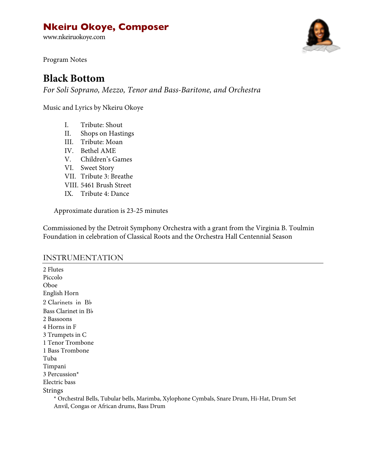# **Nkeiru Okoye, Composer**

www.nkeiruokoye.com



Program Notes

# **Black Bottom**

*For Soli Soprano, Mezzo, Tenor and Bass-Baritone, and Orchestra*

Music and Lyrics by Nkeiru Okoye

- I. Tribute: Shout
- II. Shops on Hastings
- III. Tribute: Moan
- IV. Bethel AME
- V. Children's Games
- VI. Sweet Story
- VII. Tribute 3: Breathe
- VIII. 5461 Brush Street
- IX. Tribute 4: Dance

Approximate duration is 23-25 minutes

Commissioned by the Detroit Symphony Orchestra with a grant from the Virginia B. Toulmin Foundation in celebration of Classical Roots and the Orchestra Hall Centennial Season

#### INSTRUMENTATION

2 Flutes Piccolo Oboe English Horn 2 Clarinets in B♭ Bass Clarinet in B♭ 2 Bassoons 4 Horns in F 3 Trumpets in C 1 Tenor Trombone 1 Bass Trombone Tuba Timpani 3 Percussion\* Electric bass Strings

\* Orchestral Bells, Tubular bells, Marimba, Xylophone Cymbals, Snare Drum, Hi-Hat, Drum Set Anvil, Congas or African drums, Bass Drum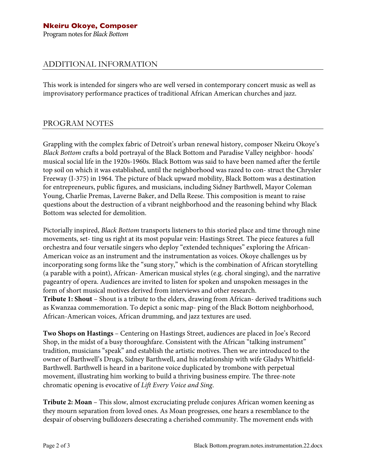### ADDITIONAL INFORMATION

This work is intended for singers who are well versed in contemporary concert music as well as improvisatory performance practices of traditional African American churches and jazz.

### PROGRAM NOTES

Grappling with the complex fabric of Detroit's urban renewal history, composer Nkeiru Okoye's *Black Bottom* crafts a bold portrayal of the Black Bottom and Paradise Valley neighbor- hoods' musical social life in the 1920s-1960s. Black Bottom was said to have been named after the fertile top soil on which it was established, until the neighborhood was razed to con- struct the Chrysler Freeway (I-375) in 1964. The picture of black upward mobility, Black Bottom was a destination for entrepreneurs, public figures, and musicians, including Sidney Barthwell, Mayor Coleman Young, Charlie Premas, Laverne Baker, and Della Reese. This composition is meant to raise questions about the destruction of a vibrant neighborhood and the reasoning behind why Black Bottom was selected for demolition.

Pictorially inspired, *Black Bottom* transports listeners to this storied place and time through nine movements, set- ting us right at its most popular vein: Hastings Street. The piece features a full orchestra and four versatile singers who deploy "extended techniques" exploring the African-American voice as an instrument and the instrumentation as voices. Okoye challenges us by incorporating song forms like the "sung story," which is the combination of African storytelling (a parable with a point), African- American musical styles (e.g. choral singing), and the narrative pageantry of opera. Audiences are invited to listen for spoken and unspoken messages in the form of short musical motives derived from interviews and other research.

**Tribute 1: Shout** – Shout is a tribute to the elders, drawing from African- derived traditions such as Kwanzaa commemoration. To depict a sonic map- ping of the Black Bottom neighborhood, African-American voices, African drumming, and jazz textures are used.

**Two Shops on Hastings** – Centering on Hastings Street, audiences are placed in Joe's Record Shop, in the midst of a busy thoroughfare. Consistent with the African "talking instrument" tradition, musicians "speak" and establish the artistic motives. Then we are introduced to the owner of Barthwell's Drugs, Sidney Barthwell, and his relationship with wife Gladys Whitfield-Barthwell. Barthwell is heard in a baritone voice duplicated by trombone with perpetual movement, illustrating him working to build a thriving business empire. The three-note chromatic opening is evocative of *Lift Every Voice and Sing*.

**Tribute 2: Moan** – This slow, almost excruciating prelude conjures African women keening as they mourn separation from loved ones. As Moan progresses, one hears a resemblance to the despair of observing bulldozers desecrating a cherished community. The movement ends with